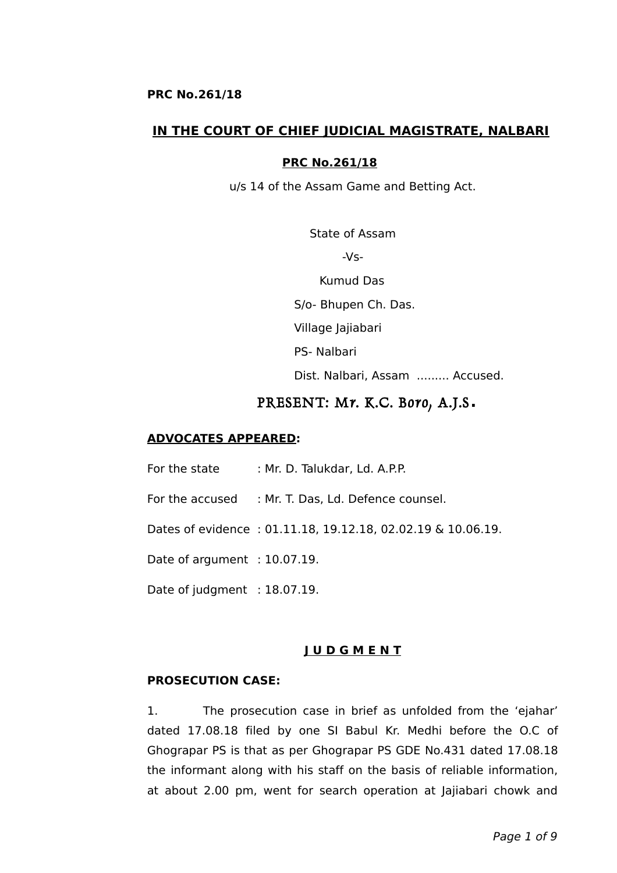### **IN THE COURT OF CHIEF JUDICIAL MAGISTRATE, NALBARI**

#### **PRC No.261/18**

u/s 14 of the Assam Game and Betting Act.

State of Assam -Vs-

Kumud Das

S/o- Bhupen Ch. Das.

Village Jajiabari

PS- Nalbari

Dist. Nalbari, Assam ......... Accused.

### PRESENT: Mr. K.C. Boro, A.J.S**.**

#### **ADVOCATES APPEARED:**

For the state : Mr. D. Talukdar, Ld. A.P.P.

For the accused : Mr. T. Das, Ld. Defence counsel.

Dates of evidence : 01.11.18, 19.12.18, 02.02.19 & 10.06.19.

Date of argument : 10.07.19.

Date of judgment : 18.07.19.

#### **J U D G M E N T**

#### **PROSECUTION CASE:**

1. The prosecution case in brief as unfolded from the 'ejahar' dated 17.08.18 filed by one SI Babul Kr. Medhi before the O.C of Ghograpar PS is that as per Ghograpar PS GDE No.431 dated 17.08.18 the informant along with his staff on the basis of reliable information, at about 2.00 pm, went for search operation at Jajiabari chowk and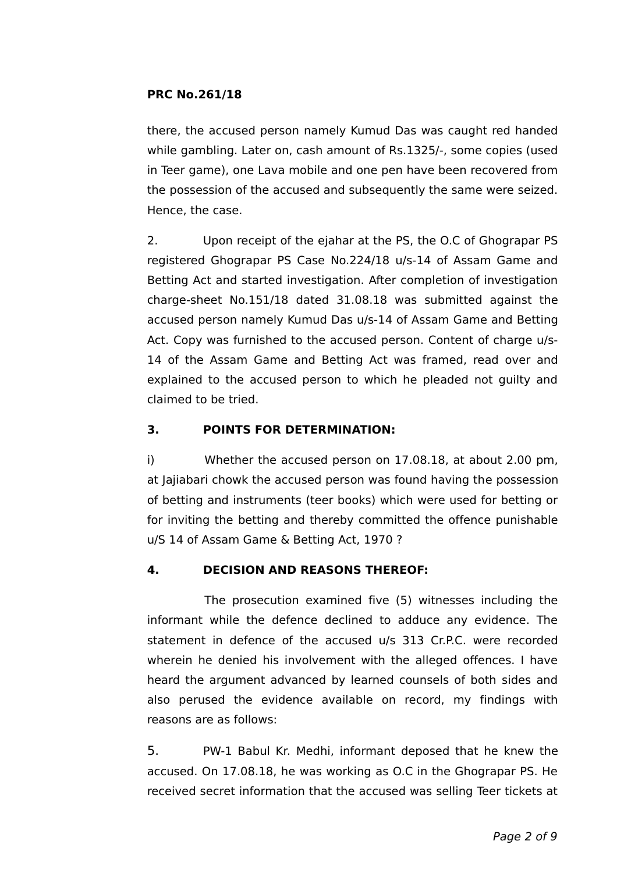there, the accused person namely Kumud Das was caught red handed while gambling. Later on, cash amount of Rs.1325/-, some copies (used in Teer game), one Lava mobile and one pen have been recovered from the possession of the accused and subsequently the same were seized. Hence, the case.

2. Upon receipt of the ejahar at the PS, the O.C of Ghograpar PS registered Ghograpar PS Case No.224/18 u/s-14 of Assam Game and Betting Act and started investigation. After completion of investigation charge-sheet No.151/18 dated 31.08.18 was submitted against the accused person namely Kumud Das u/s-14 of Assam Game and Betting Act. Copy was furnished to the accused person. Content of charge u/s-14 of the Assam Game and Betting Act was framed, read over and explained to the accused person to which he pleaded not guilty and claimed to be tried.

## **3. POINTS FOR DETERMINATION:**

i) Whether the accused person on 17.08.18, at about 2.00 pm, at Jajiabari chowk the accused person was found having the possession of betting and instruments (teer books) which were used for betting or for inviting the betting and thereby committed the offence punishable u/S 14 of Assam Game & Betting Act, 1970 ?

# **4. DECISION AND REASONS THEREOF:**

The prosecution examined five (5) witnesses including the informant while the defence declined to adduce any evidence. The statement in defence of the accused u/s 313 Cr.P.C. were recorded wherein he denied his involvement with the alleged offences. I have heard the argument advanced by learned counsels of both sides and also perused the evidence available on record, my findings with reasons are as follows:

5. PW-1 Babul Kr. Medhi, informant deposed that he knew the accused. On 17.08.18, he was working as O.C in the Ghograpar PS. He received secret information that the accused was selling Teer tickets at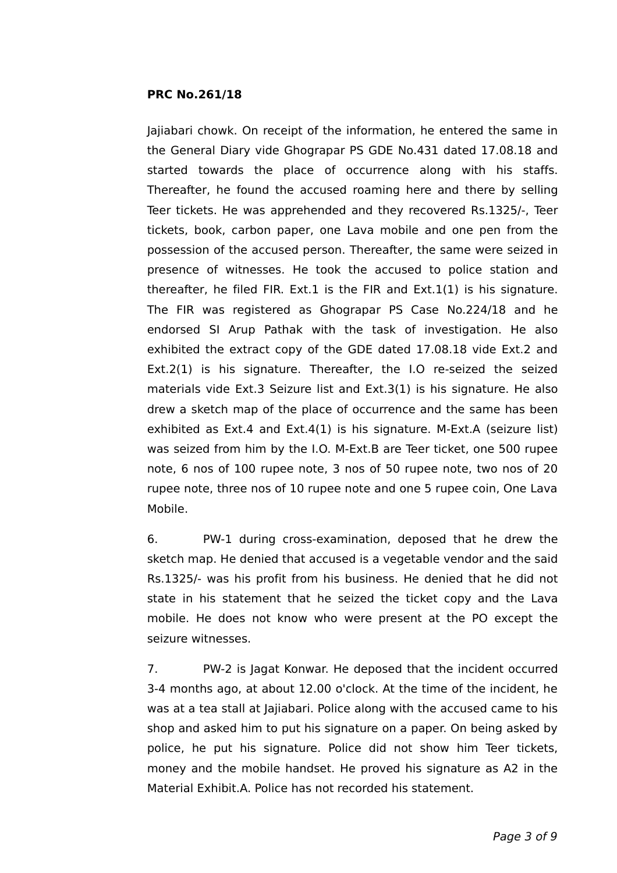Jajiabari chowk. On receipt of the information, he entered the same in the General Diary vide Ghograpar PS GDE No.431 dated 17.08.18 and started towards the place of occurrence along with his staffs. Thereafter, he found the accused roaming here and there by selling Teer tickets. He was apprehended and they recovered Rs.1325/-, Teer tickets, book, carbon paper, one Lava mobile and one pen from the possession of the accused person. Thereafter, the same were seized in presence of witnesses. He took the accused to police station and thereafter, he filed FIR. Ext.1 is the FIR and Ext.1(1) is his signature. The FIR was registered as Ghograpar PS Case No.224/18 and he endorsed SI Arup Pathak with the task of investigation. He also exhibited the extract copy of the GDE dated 17.08.18 vide Ext.2 and Ext.2(1) is his signature. Thereafter, the I.O re-seized the seized materials vide Ext.3 Seizure list and Ext.3(1) is his signature. He also drew a sketch map of the place of occurrence and the same has been exhibited as Ext.4 and Ext.4(1) is his signature. M-Ext.A (seizure list) was seized from him by the I.O. M-Ext.B are Teer ticket, one 500 rupee note, 6 nos of 100 rupee note, 3 nos of 50 rupee note, two nos of 20 rupee note, three nos of 10 rupee note and one 5 rupee coin, One Lava Mobile.

6. PW-1 during cross-examination, deposed that he drew the sketch map. He denied that accused is a vegetable vendor and the said Rs.1325/- was his profit from his business. He denied that he did not state in his statement that he seized the ticket copy and the Lava mobile. He does not know who were present at the PO except the seizure witnesses.

7. PW-2 is Jagat Konwar. He deposed that the incident occurred 3-4 months ago, at about 12.00 o'clock. At the time of the incident, he was at a tea stall at Jajiabari. Police along with the accused came to his shop and asked him to put his signature on a paper. On being asked by police, he put his signature. Police did not show him Teer tickets, money and the mobile handset. He proved his signature as A2 in the Material Exhibit.A. Police has not recorded his statement.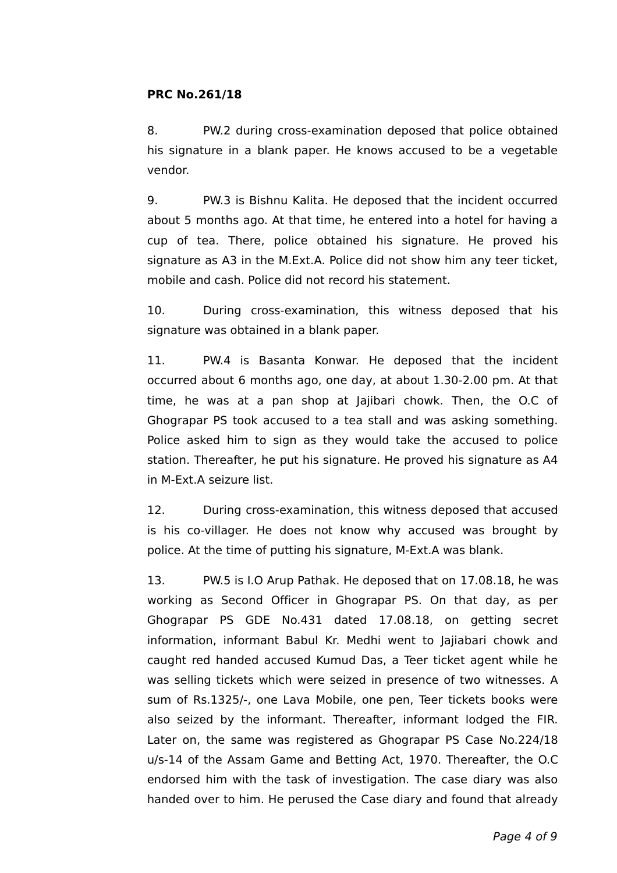8. PW.2 during cross-examination deposed that police obtained his signature in a blank paper. He knows accused to be a vegetable vendor.

9. PW.3 is Bishnu Kalita. He deposed that the incident occurred about 5 months ago. At that time, he entered into a hotel for having a cup of tea. There, police obtained his signature. He proved his signature as A3 in the M.Ext.A. Police did not show him any teer ticket, mobile and cash. Police did not record his statement.

10. During cross-examination, this witness deposed that his signature was obtained in a blank paper.

11. PW.4 is Basanta Konwar. He deposed that the incident occurred about 6 months ago, one day, at about 1.30-2.00 pm. At that time, he was at a pan shop at Jajibari chowk. Then, the O.C of Ghograpar PS took accused to a tea stall and was asking something. Police asked him to sign as they would take the accused to police station. Thereafter, he put his signature. He proved his signature as A4 in M-Ext.A seizure list.

12. During cross-examination, this witness deposed that accused is his co-villager. He does not know why accused was brought by police. At the time of putting his signature, M-Ext.A was blank.

13. PW.5 is I.O Arup Pathak. He deposed that on 17.08.18, he was working as Second Officer in Ghograpar PS. On that day, as per Ghograpar PS GDE No.431 dated 17.08.18, on getting secret information, informant Babul Kr. Medhi went to Jajiabari chowk and caught red handed accused Kumud Das, a Teer ticket agent while he was selling tickets which were seized in presence of two witnesses. A sum of Rs.1325/-, one Lava Mobile, one pen, Teer tickets books were also seized by the informant. Thereafter, informant lodged the FIR. Later on, the same was registered as Ghograpar PS Case No.224/18 u/s-14 of the Assam Game and Betting Act, 1970. Thereafter, the O.C endorsed him with the task of investigation. The case diary was also handed over to him. He perused the Case diary and found that already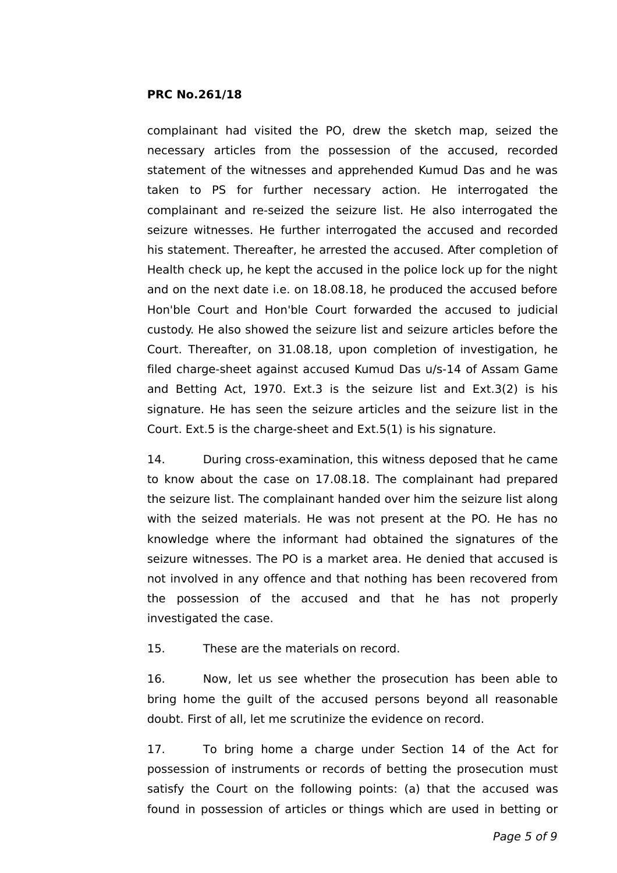complainant had visited the PO, drew the sketch map, seized the necessary articles from the possession of the accused, recorded statement of the witnesses and apprehended Kumud Das and he was taken to PS for further necessary action. He interrogated the complainant and re-seized the seizure list. He also interrogated the seizure witnesses. He further interrogated the accused and recorded his statement. Thereafter, he arrested the accused. After completion of Health check up, he kept the accused in the police lock up for the night and on the next date i.e. on 18.08.18, he produced the accused before Hon'ble Court and Hon'ble Court forwarded the accused to judicial custody. He also showed the seizure list and seizure articles before the Court. Thereafter, on 31.08.18, upon completion of investigation, he filed charge-sheet against accused Kumud Das u/s-14 of Assam Game and Betting Act, 1970. Ext.3 is the seizure list and Ext.3(2) is his signature. He has seen the seizure articles and the seizure list in the Court. Ext.5 is the charge-sheet and Ext.5(1) is his signature.

14. During cross-examination, this witness deposed that he came to know about the case on 17.08.18. The complainant had prepared the seizure list. The complainant handed over him the seizure list along with the seized materials. He was not present at the PO. He has no knowledge where the informant had obtained the signatures of the seizure witnesses. The PO is a market area. He denied that accused is not involved in any offence and that nothing has been recovered from the possession of the accused and that he has not properly investigated the case.

15. These are the materials on record.

16. Now, let us see whether the prosecution has been able to bring home the guilt of the accused persons beyond all reasonable doubt. First of all, let me scrutinize the evidence on record.

17. To bring home a charge under Section 14 of the Act for possession of instruments or records of betting the prosecution must satisfy the Court on the following points: (a) that the accused was found in possession of articles or things which are used in betting or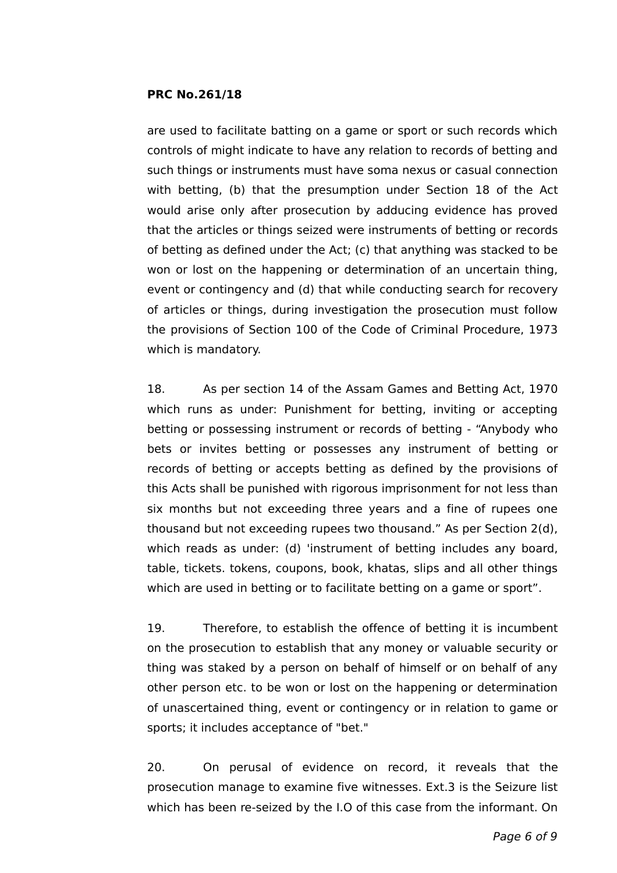are used to facilitate batting on a game or sport or such records which controls of might indicate to have any relation to records of betting and such things or instruments must have soma nexus or casual connection with betting, (b) that the presumption under Section 18 of the Act would arise only after prosecution by adducing evidence has proved that the articles or things seized were instruments of betting or records of betting as defined under the Act; (c) that anything was stacked to be won or lost on the happening or determination of an uncertain thing, event or contingency and (d) that while conducting search for recovery of articles or things, during investigation the prosecution must follow the provisions of Section 100 of the Code of Criminal Procedure, 1973 which is mandatory.

18. As per section 14 of the Assam Games and Betting Act, 1970 which runs as under: Punishment for betting, inviting or accepting betting or possessing instrument or records of betting - "Anybody who bets or invites betting or possesses any instrument of betting or records of betting or accepts betting as defined by the provisions of this Acts shall be punished with rigorous imprisonment for not less than six months but not exceeding three years and a fine of rupees one thousand but not exceeding rupees two thousand." As per Section 2(d), which reads as under: (d) 'instrument of betting includes any board, table, tickets. tokens, coupons, book, khatas, slips and all other things which are used in betting or to facilitate betting on a game or sport".

19. Therefore, to establish the offence of betting it is incumbent on the prosecution to establish that any money or valuable security or thing was staked by a person on behalf of himself or on behalf of any other person etc. to be won or lost on the happening or determination of unascertained thing, event or contingency or in relation to game or sports; it includes acceptance of "bet."

20. On perusal of evidence on record, it reveals that the prosecution manage to examine five witnesses. Ext.3 is the Seizure list which has been re-seized by the I.O of this case from the informant. On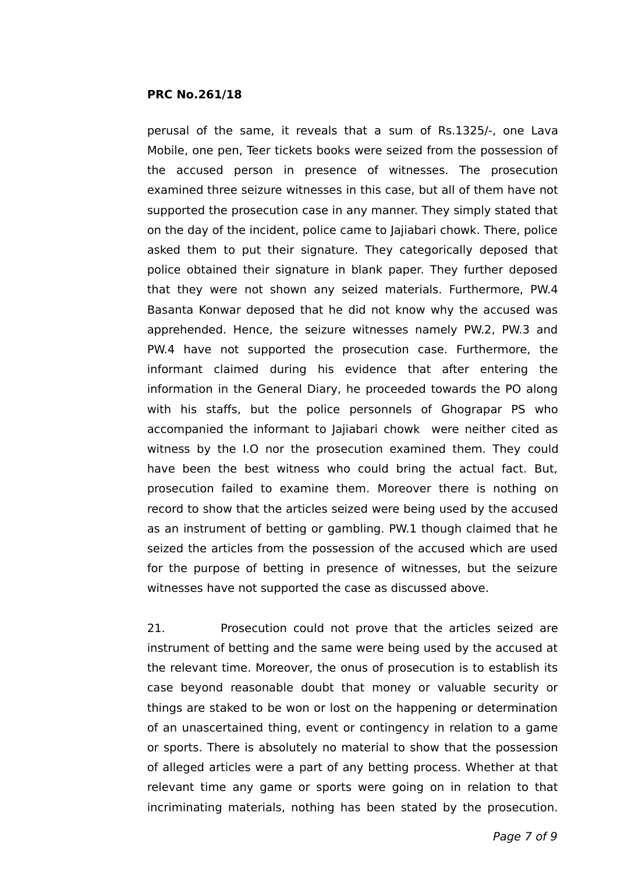perusal of the same, it reveals that a sum of Rs.1325/-, one Lava Mobile, one pen, Teer tickets books were seized from the possession of the accused person in presence of witnesses. The prosecution examined three seizure witnesses in this case, but all of them have not supported the prosecution case in any manner. They simply stated that on the day of the incident, police came to Jajiabari chowk. There, police asked them to put their signature. They categorically deposed that police obtained their signature in blank paper. They further deposed that they were not shown any seized materials. Furthermore, PW.4 Basanta Konwar deposed that he did not know why the accused was apprehended. Hence, the seizure witnesses namely PW.2, PW.3 and PW.4 have not supported the prosecution case. Furthermore, the informant claimed during his evidence that after entering the information in the General Diary, he proceeded towards the PO along with his staffs, but the police personnels of Ghograpar PS who accompanied the informant to Jajiabari chowk were neither cited as witness by the I.O nor the prosecution examined them. They could have been the best witness who could bring the actual fact. But, prosecution failed to examine them. Moreover there is nothing on record to show that the articles seized were being used by the accused as an instrument of betting or gambling. PW.1 though claimed that he seized the articles from the possession of the accused which are used for the purpose of betting in presence of witnesses, but the seizure witnesses have not supported the case as discussed above.

21. Prosecution could not prove that the articles seized are instrument of betting and the same were being used by the accused at the relevant time. Moreover, the onus of prosecution is to establish its case beyond reasonable doubt that money or valuable security or things are staked to be won or lost on the happening or determination of an unascertained thing, event or contingency in relation to a game or sports. There is absolutely no material to show that the possession of alleged articles were a part of any betting process. Whether at that relevant time any game or sports were going on in relation to that incriminating materials, nothing has been stated by the prosecution.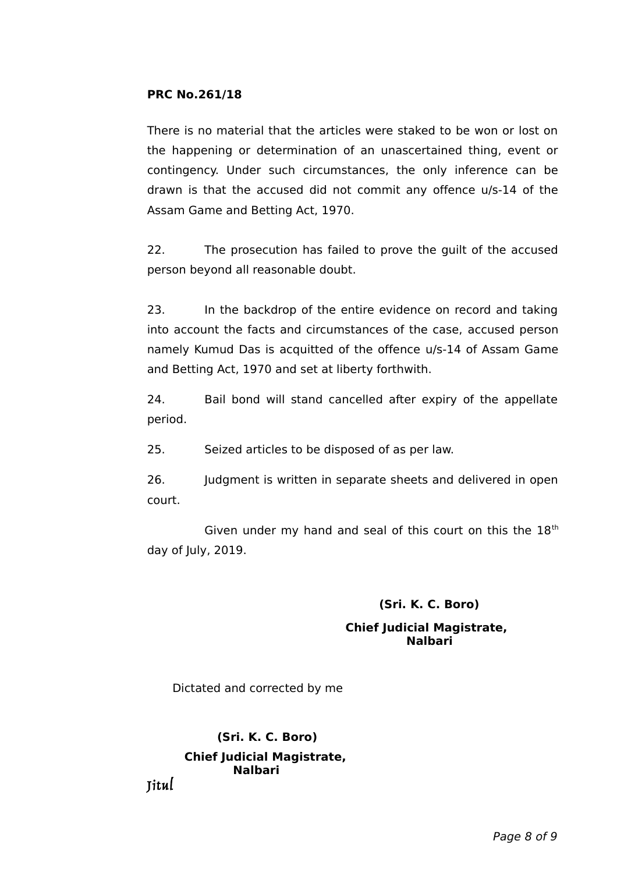There is no material that the articles were staked to be won or lost on the happening or determination of an unascertained thing, event or contingency. Under such circumstances, the only inference can be drawn is that the accused did not commit any offence u/s-14 of the Assam Game and Betting Act, 1970.

22. The prosecution has failed to prove the guilt of the accused person beyond all reasonable doubt.

23. In the backdrop of the entire evidence on record and taking into account the facts and circumstances of the case, accused person namely Kumud Das is acquitted of the offence u/s-14 of Assam Game and Betting Act, 1970 and set at liberty forthwith.

24. Bail bond will stand cancelled after expiry of the appellate period.

25. Seized articles to be disposed of as per law.

26. Judgment is written in separate sheets and delivered in open court.

Given under my hand and seal of this court on this the  $18<sup>th</sup>$ day of July, 2019.

# **(Sri. K. C. Boro)**

### **Chief Judicial Magistrate, Nalbari**

Dictated and corrected by me

 **(Sri. K. C. Boro) Chief Judicial Magistrate, Nalbari** 

Jitul